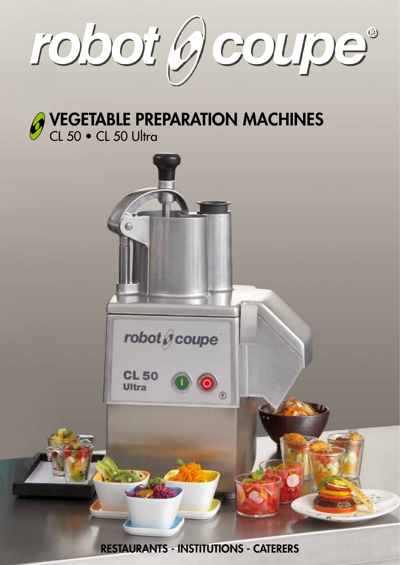robot (9) coupe®

vegetable preparation machines CL 50 • CL 50 Ultra



RESTAURANTS - INSTITUTIONS - CATERERS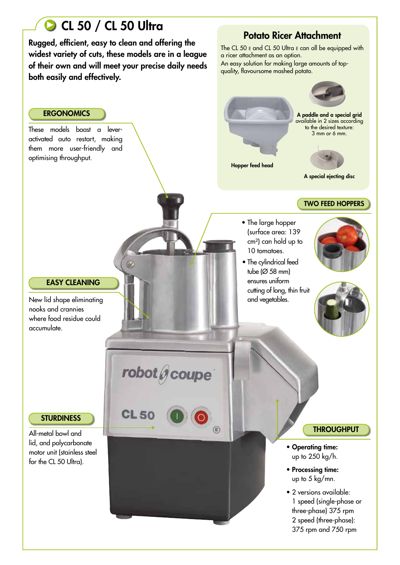# CL 50 / CL 50 Ultra

Rugged, efficient, easy to clean and offering the widest variety of cuts, these models are in a league of their own and will meet your precise daily needs both easily and effectively.

# Potato Ricer Attachment

The CL 50 E and CL 50 Ultra E can all be equipped with a ricer attachment as an option. An easy solution for making large amounts of topquality, flavoursome mashed potato.

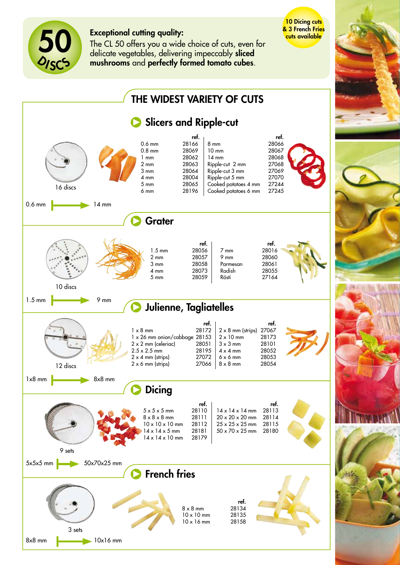

## Exceptional cutting quality:

The CL 50 offers you a wide choice of cuts, even for delicate vegetables, delivering impeccably sliced mushrooms and perfectly formed tomato cubes.

10 Dicing cuts **& 3 French Fries** cuts available

Slicers and Ripple-cut French fries THE WIDEST VARIETY OF CUTS 0.6 mm 14 mm  $1.5 \text{ mm}$  9 mm  $1 \times 8$  mm 5x5x5 mm 50x70x25 mm 8x8 mm 10x16 mm 10 discs ref. 8 x 8 mm 28134 10 x 10 mm 28135<br>10 x 16 mm 28158  $10 \times 16$  mm 12 discs 9 sets 3 sets 16 discs ref.<br>28172  $1 \times 8$  mm 1 x 26 mm onion/cabbage 28153  $2 \times 2$  mm (celeriac) 28051<br>2.5 x 2.5 mm 28195  $2.5 \times 2.5$  mm  $2 \times 4$  mm (strips) 27072<br> $2 \times 6$  mm (strips) 27066  $2 \times 6$  mm (strips) ref. 2 x 8 mm (strips) 27067<br>2 x 10 mm 28173  $2 \times 10$  mm 3 x 3 mm 28101 4 x 4 mm 28052  $6 \times 6$  mm 28053<br> $8 \times 8$  mm 28054  $8 \times 8$  mm ref. 1.5 mm 28056 2 mm 28057 3 mm 28058 4 mm 28073<br>5 mm 28059 28059 ref. 7 mm 28016 9 mm 28060<br>Parmesan 28061 Parmesan Radish 28055<br>Rösti 27164 27164 **ref.**<br>28110  $5 \times 5 \times 5$  mm  $8 \times 8 \times 8$  mm 28111<br> $10 \times 10 \times 10$  mm 28112  $10 \times 10 \times 10$  mm 14 x 14 x 5 mm 28181<br>14 x 14 x 10 mm 28179  $14 \times 14 \times 10$  mm **ref.**<br>28113  $14 \times 14 \times 14$  mm  $20 \times 20 \times 20$  mm  $28114$ <br> $25 \times 25 \times 25$  mm  $28115$  $25 \times 25 \times 25$  mm 50 x 70 x 25 mm 28180 **Grater** Julienne, Tagliatelles **Dicing ref.**<br>28166 0.6 mm<br>0.8 mm 28069  $0.8$  mm 1 mm 28062<br>2 mm 28063 28063 3 mm 28064 4 mm 28004 5 mm 28065 6 mm 28196 **ref.**<br>28066 8 mm<br>10 mm 28067 10 mm<br>14 mm 28068<br>27 06 8 Ripple-cut 2 mm Ripple-cut 3 mm<br>Ripple-cut 5 mm 27070 Ripple-cut 5 mm Cooked potatoes 4 mm 27244 Cooked potatoes 6 mm 27245